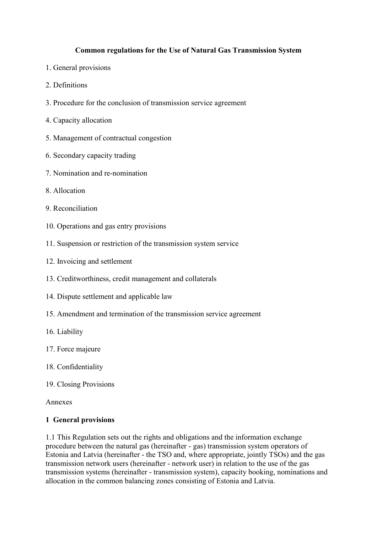### **Common regulations for the Use of Natural Gas Transmission System**

- 1. General provisions
- 2. Definitions
- 3. Procedure for the conclusion of transmission service agreement
- 4. Capacity allocation
- 5. Management of contractual congestion
- 6. Secondary capacity trading
- 7. Nomination and re-nomination
- 8. Allocation
- 9. Reconciliation
- 10. Operations and gas entry provisions
- 11. Suspension or restriction of the transmission system service
- 12. Invoicing and settlement
- 13. Creditworthiness, credit management and collaterals
- 14. Dispute settlement and applicable law
- 15. Amendment and termination of the transmission service agreement
- 16. Liability
- 17. Force majeure
- 18. Confidentiality
- 19. Closing Provisions

#### Annexes

#### **1 General provisions**

1.1 This Regulation sets out the rights and obligations and the information exchange procedure between the natural gas (hereinafter - gas) transmission system operators of Estonia and Latvia (hereinafter - the TSO and, where appropriate, jointly TSOs) and the gas transmission network users (hereinafter - network user) in relation to the use of the gas transmission systems (hereinafter - transmission system), capacity booking, nominations and allocation in the common balancing zones consisting of Estonia and Latvia.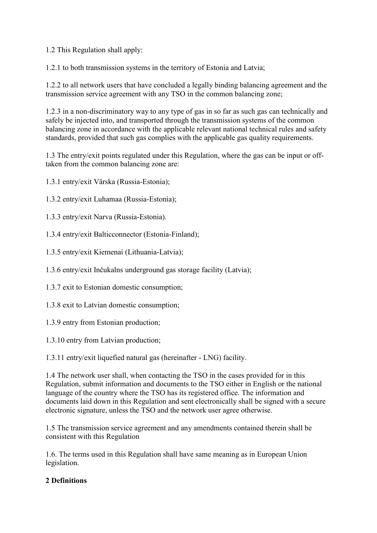1.2 This Regulation shall apply:

1.2.1 to both transmission systems in the territory of Estonia and Latvia;

1.2.2 to all network users that have concluded a legally binding balancing agreement and the transmission service agreement with any TSO in the common balancing zone;

1.2.3 in a non-discriminatory way to any type of gas in so far as such gas can technically and safely be injected into, and transported through the transmission systems of the common balancing zone in accordance with the applicable relevant national technical rules and safety standards, provided that such gas complies with the applicable gas quality requirements.

1.3 The entry/exit points regulated under this Regulation, where the gas can be input or offtaken from the common balancing zone are:

1.3.1 entry/exit Värska (Russia-Estonia);

- 1.3.2 entry/exit Luhamaa (Russia-Estonia);
- 1.3.3 entry/exit Narva (Russia-Estonia).
- 1.3.4 entry/exit Balticconnector (Estonia-Finland);
- 1.3.5 entry/exit Kiemenai (Lithuania-Latvia);
- 1.3.6 entry/exit Inčukalns underground gas storage facility (Latvia);
- 1.3.7 exit to Estonian domestic consumption;
- 1.3.8 exit to Latvian domestic consumption;
- 1.3.9 entry from Estonian production;
- 1.3.10 entry from Latvian production;

1.3.11 entry/exit liquefied natural gas (hereinafter - LNG) facility.

1.4 The network user shall, when contacting the TSO in the cases provided for in this Regulation, submit information and documents to the TSO either in English or the national language of the country where the TSO has its registered office. The information and documents laid down in this Regulation and sent electronically shall be signed with a secure electronic signature, unless the TSO and the network user agree otherwise.

1.5 The transmission service agreement and any amendments contained therein shall be consistent with this Regulation

1.6. The terms used in this Regulation shall have same meaning as in European Union legislation.

### **2 Definitions**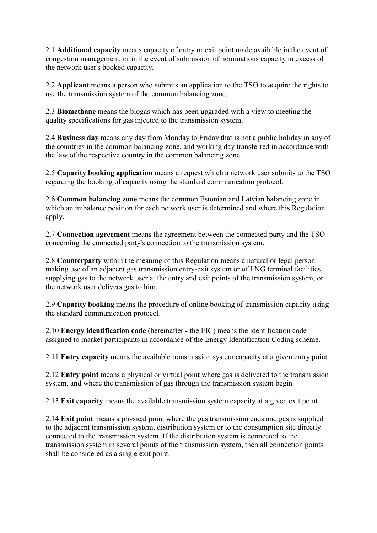2.1 **Additional capacity** means capacity of entry or exit point made available in the event of congestion management, or in the event of submission of nominations capacity in excess of the network user's booked capacity.

2.2 **Applicant** means a person who submits an application to the TSO to acquire the rights to use the transmission system of the common balancing zone.

2.3 **Biomethane** means the biogas which has been upgraded with a view to meeting the quality specifications for gas injected to the transmission system.

2.4 **Business day** means any day from Monday to Friday that is not a public holiday in any of the countries in the common balancing zone, and working day transferred in accordance with the law of the respective country in the common balancing zone.

2.5 **Capacity booking application** means a request which a network user submits to the TSO regarding the booking of capacity using the standard communication protocol.

2.6 **Common balancing zone** means the common Estonian and Latvian balancing zone in which an imbalance position for each network user is determined and where this Regulation apply.

2.7 **Connection agreement** means the agreement between the connected party and the TSO concerning the connected party's connection to the transmission system.

2.8 **Counterparty** within the meaning of this Regulation means a natural or legal person making use of an adjacent gas transmission entry-exit system or of LNG terminal facilities, supplying gas to the network user at the entry and exit points of the transmission system, or the network user delivers gas to him.

2.9 **Capacity booking** means the procedure of online booking of transmission capacity using the standard communication protocol.

2.10 **Energy identification code** (hereinafter - the EIC) means the identification code assigned to market participants in accordance of the Energy Identification Coding scheme.

2.11 **Entry capacity** means the available transmission system capacity at a given entry point.

2.12 **Entry point** means a physical or virtual point where gas is delivered to the transmission system, and where the transmission of gas through the transmission system begin.

2.13 **Exit capacity** means the available transmission system capacity at a given exit point.

2.14 **Exit point** means a physical point where the gas transmission ends and gas is supplied to the adjacent transmission system, distribution system or to the consumption site directly connected to the transmission system. If the distribution system is connected to the transmission system in several points of the transmission system, then all connection points shall be considered as a single exit point.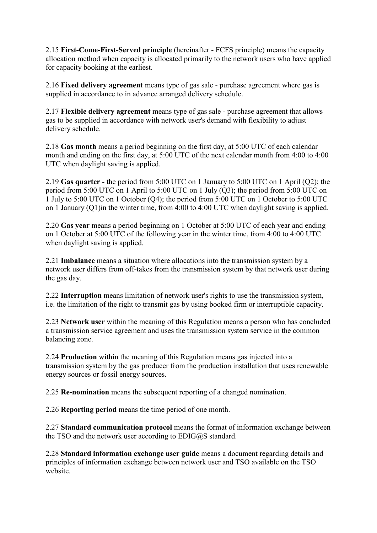2.15 **First-Come-First-Served principle** (hereinafter - FCFS principle) means the capacity allocation method when capacity is allocated primarily to the network users who have applied for capacity booking at the earliest.

2.16 **Fixed delivery agreement** means type of gas sale - purchase agreement where gas is supplied in accordance to in advance arranged delivery schedule.

2.17 **Flexible delivery agreement** means type of gas sale - purchase agreement that allows gas to be supplied in accordance with network user's demand with flexibility to adjust delivery schedule.

2.18 **Gas month** means a period beginning on the first day, at 5:00 UTC of each calendar month and ending on the first day, at 5:00 UTC of the next calendar month from 4:00 to 4:00 UTC when daylight saving is applied.

2.19 **Gas quarter** - the period from 5:00 UTC on 1 January to 5:00 UTC on 1 April (Q2); the period from 5:00 UTC on 1 April to 5:00 UTC on 1 July (Q3); the period from 5:00 UTC on 1 July to 5:00 UTC on 1 October (Q4); the period from 5:00 UTC on 1 October to 5:00 UTC on 1 January (Q1)in the winter time, from 4:00 to 4:00 UTC when daylight saving is applied.

2.20 **Gas year** means a period beginning on 1 October at 5:00 UTC of each year and ending on 1 October at 5:00 UTC of the following year in the winter time, from 4:00 to 4:00 UTC when daylight saving is applied.

2.21 **Imbalance** means a situation where allocations into the transmission system by a network user differs from off-takes from the transmission system by that network user during the gas day.

2.22 **Interruption** means limitation of network user's rights to use the transmission system, i.e. the limitation of the right to transmit gas by using booked firm or interruptible capacity.

2.23 **Network user** within the meaning of this Regulation means a person who has concluded a transmission service agreement and uses the transmission system service in the common balancing zone.

2.24 **Production** within the meaning of this Regulation means gas injected into a transmission system by the gas producer from the production installation that uses renewable energy sources or fossil energy sources.

2.25 **Re-nomination** means the subsequent reporting of a changed nomination.

2.26 **Reporting period** means the time period of one month.

2.27 **Standard communication protocol** means the format of information exchange between the TSO and the network user according to EDIG@S standard.

2.28 **Standard information exchange user guide** means a document regarding details and principles of information exchange between network user and TSO available on the TSO website.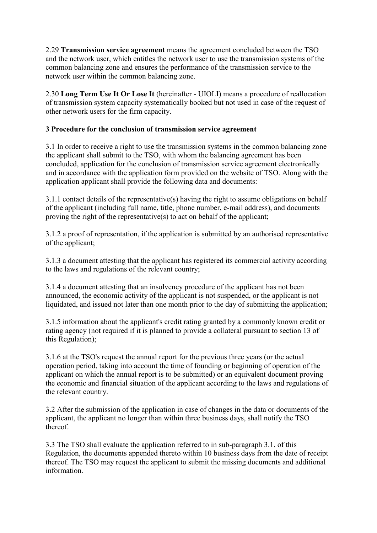2.29 **Transmission service agreement** means the agreement concluded between the TSO and the network user, which entitles the network user to use the transmission systems of the common balancing zone and ensures the performance of the transmission service to the network user within the common balancing zone.

2.30 **Long Term Use It Or Lose It** (hereinafter - UIOLI) means a procedure of reallocation of transmission system capacity systematically booked but not used in case of the request of other network users for the firm capacity.

## **3 Procedure for the conclusion of transmission service agreement**

3.1 In order to receive a right to use the transmission systems in the common balancing zone the applicant shall submit to the TSO, with whom the balancing agreement has been concluded, application for the conclusion of transmission service agreement electronically and in accordance with the application form provided on the website of TSO. Along with the application applicant shall provide the following data and documents:

3.1.1 contact details of the representative(s) having the right to assume obligations on behalf of the applicant (including full name, title, phone number, e-mail address), and documents proving the right of the representative(s) to act on behalf of the applicant;

3.1.2 a proof of representation, if the application is submitted by an authorised representative of the applicant;

3.1.3 a document attesting that the applicant has registered its commercial activity according to the laws and regulations of the relevant country;

3.1.4 a document attesting that an insolvency procedure of the applicant has not been announced, the economic activity of the applicant is not suspended, or the applicant is not liquidated, and issued not later than one month prior to the day of submitting the application;

3.1.5 information about the applicant's credit rating granted by a commonly known credit or rating agency (not required if it is planned to provide a collateral pursuant to section 13 of this Regulation);

3.1.6 at the TSO's request the annual report for the previous three years (or the actual operation period, taking into account the time of founding or beginning of operation of the applicant on which the annual report is to be submitted) or an equivalent document proving the economic and financial situation of the applicant according to the laws and regulations of the relevant country.

3.2 After the submission of the application in case of changes in the data or documents of the applicant, the applicant no longer than within three business days, shall notify the TSO thereof.

3.3 The TSO shall evaluate the application referred to in sub-paragraph 3.1. of this Regulation, the documents appended thereto within 10 business days from the date of receipt thereof. The TSO may request the applicant to submit the missing documents and additional information.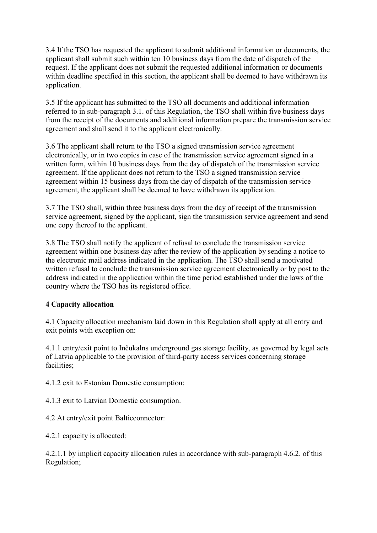3.4 If the TSO has requested the applicant to submit additional information or documents, the applicant shall submit such within ten 10 business days from the date of dispatch of the request. If the applicant does not submit the requested additional information or documents within deadline specified in this section, the applicant shall be deemed to have withdrawn its application.

3.5 If the applicant has submitted to the TSO all documents and additional information referred to in sub-paragraph 3.1. of this Regulation, the TSO shall within five business days from the receipt of the documents and additional information prepare the transmission service agreement and shall send it to the applicant electronically.

3.6 The applicant shall return to the TSO a signed transmission service agreement electronically, or in two copies in case of the transmission service agreement signed in a written form, within 10 business days from the day of dispatch of the transmission service agreement. If the applicant does not return to the TSO a signed transmission service agreement within 15 business days from the day of dispatch of the transmission service agreement, the applicant shall be deemed to have withdrawn its application.

3.7 The TSO shall, within three business days from the day of receipt of the transmission service agreement, signed by the applicant, sign the transmission service agreement and send one copy thereof to the applicant.

3.8 The TSO shall notify the applicant of refusal to conclude the transmission service agreement within one business day after the review of the application by sending a notice to the electronic mail address indicated in the application. The TSO shall send a motivated written refusal to conclude the transmission service agreement electronically or by post to the address indicated in the application within the time period established under the laws of the country where the TSO has its registered office.

# **4 Capacity allocation**

4.1 Capacity allocation mechanism laid down in this Regulation shall apply at all entry and exit points with exception on:

4.1.1 entry/exit point to Inčukalns underground gas storage facility, as governed by legal acts of Latvia applicable to the provision of third-party access services concerning storage facilities:

4.1.2 exit to Estonian Domestic consumption;

4.1.3 exit to Latvian Domestic consumption.

4.2 At entry/exit point Balticconnector:

4.2.1 capacity is allocated:

4.2.1.1 by implicit capacity allocation rules in accordance with sub-paragraph 4.6.2. of this Regulation;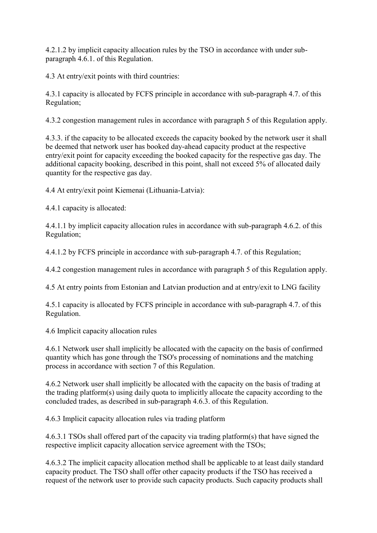4.2.1.2 by implicit capacity allocation rules by the TSO in accordance with under subparagraph 4.6.1. of this Regulation.

4.3 At entry/exit points with third countries:

4.3.1 capacity is allocated by FCFS principle in accordance with sub-paragraph 4.7. of this Regulation;

4.3.2 congestion management rules in accordance with paragraph 5 of this Regulation apply.

4.3.3. if the capacity to be allocated exceeds the capacity booked by the network user it shall be deemed that network user has booked day-ahead capacity product at the respective entry/exit point for capacity exceeding the booked capacity for the respective gas day. The additional capacity booking, described in this point, shall not exceed 5% of allocated daily quantity for the respective gas day.

4.4 At entry/exit point Kiemenai (Lithuania-Latvia):

4.4.1 capacity is allocated:

4.4.1.1 by implicit capacity allocation rules in accordance with sub-paragraph 4.6.2. of this Regulation;

4.4.1.2 by FCFS principle in accordance with sub-paragraph 4.7. of this Regulation;

4.4.2 congestion management rules in accordance with paragraph 5 of this Regulation apply.

4.5 At entry points from Estonian and Latvian production and at entry/exit to LNG facility

4.5.1 capacity is allocated by FCFS principle in accordance with sub-paragraph 4.7. of this Regulation.

4.6 Implicit capacity allocation rules

4.6.1 Network user shall implicitly be allocated with the capacity on the basis of confirmed quantity which has gone through the TSO's processing of nominations and the matching process in accordance with section 7 of this Regulation.

4.6.2 Network user shall implicitly be allocated with the capacity on the basis of trading at the trading platform(s) using daily quota to implicitly allocate the capacity according to the concluded trades, as described in sub-paragraph 4.6.3. of this Regulation.

4.6.3 Implicit capacity allocation rules via trading platform

4.6.3.1 TSOs shall offered part of the capacity via trading platform(s) that have signed the respective implicit capacity allocation service agreement with the TSOs;

4.6.3.2 The implicit capacity allocation method shall be applicable to at least daily standard capacity product. The TSO shall offer other capacity products if the TSO has received a request of the network user to provide such capacity products. Such capacity products shall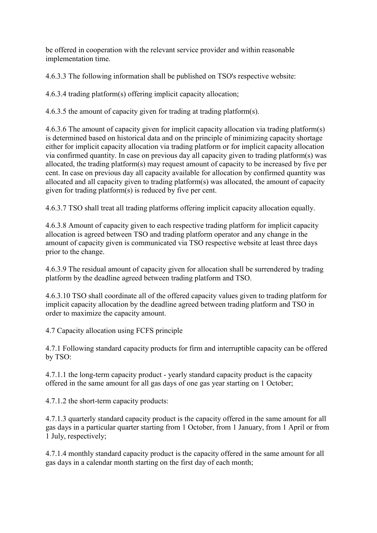be offered in cooperation with the relevant service provider and within reasonable implementation time.

4.6.3.3 The following information shall be published on TSO's respective website:

4.6.3.4 trading platform(s) offering implicit capacity allocation;

4.6.3.5 the amount of capacity given for trading at trading platform(s).

4.6.3.6 The amount of capacity given for implicit capacity allocation via trading platform(s) is determined based on historical data and on the principle of minimizing capacity shortage either for implicit capacity allocation via trading platform or for implicit capacity allocation via confirmed quantity. In case on previous day all capacity given to trading platform(s) was allocated, the trading platform(s) may request amount of capacity to be increased by five per cent. In case on previous day all capacity available for allocation by confirmed quantity was allocated and all capacity given to trading platform(s) was allocated, the amount of capacity given for trading platform(s) is reduced by five per cent.

4.6.3.7 TSO shall treat all trading platforms offering implicit capacity allocation equally.

4.6.3.8 Amount of capacity given to each respective trading platform for implicit capacity allocation is agreed between TSO and trading platform operator and any change in the amount of capacity given is communicated via TSO respective website at least three days prior to the change.

4.6.3.9 The residual amount of capacity given for allocation shall be surrendered by trading platform by the deadline agreed between trading platform and TSO.

4.6.3.10 TSO shall coordinate all of the offered capacity values given to trading platform for implicit capacity allocation by the deadline agreed between trading platform and TSO in order to maximize the capacity amount.

4.7 Capacity allocation using FCFS principle

4.7.1 Following standard capacity products for firm and interruptible capacity can be offered by TSO:

4.7.1.1 the long-term capacity product - yearly standard capacity product is the capacity offered in the same amount for all gas days of one gas year starting on 1 October;

4.7.1.2 the short-term capacity products:

4.7.1.3 quarterly standard capacity product is the capacity offered in the same amount for all gas days in a particular quarter starting from 1 October, from 1 January, from 1 April or from 1 July, respectively;

4.7.1.4 monthly standard capacity product is the capacity offered in the same amount for all gas days in a calendar month starting on the first day of each month;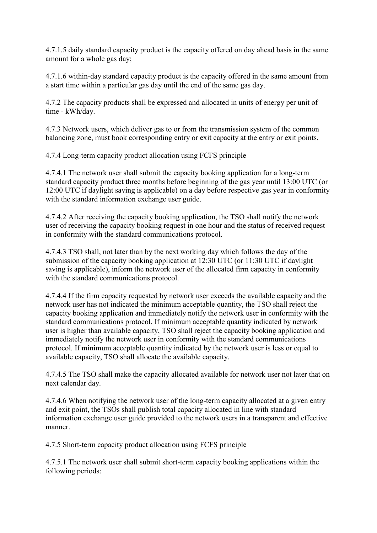4.7.1.5 daily standard capacity product is the capacity offered on day ahead basis in the same amount for a whole gas day;

4.7.1.6 within-day standard capacity product is the capacity offered in the same amount from a start time within a particular gas day until the end of the same gas day.

4.7.2 The capacity products shall be expressed and allocated in units of energy per unit of time - kWh/day.

4.7.3 Network users, which deliver gas to or from the transmission system of the common balancing zone, must book corresponding entry or exit capacity at the entry or exit points.

4.7.4 Long-term capacity product allocation using FCFS principle

4.7.4.1 The network user shall submit the capacity booking application for a long-term standard capacity product three months before beginning of the gas year until 13:00 UTC (or 12:00 UTC if daylight saving is applicable) on a day before respective gas year in conformity with the standard information exchange user guide.

4.7.4.2 After receiving the capacity booking application, the TSO shall notify the network user of receiving the capacity booking request in one hour and the status of received request in conformity with the standard communications protocol.

4.7.4.3 TSO shall, not later than by the next working day which follows the day of the submission of the capacity booking application at 12:30 UTC (or 11:30 UTC if daylight saving is applicable), inform the network user of the allocated firm capacity in conformity with the standard communications protocol.

4.7.4.4 If the firm capacity requested by network user exceeds the available capacity and the network user has not indicated the minimum acceptable quantity, the TSO shall reject the capacity booking application and immediately notify the network user in conformity with the standard communications protocol. If minimum acceptable quantity indicated by network user is higher than available capacity, TSO shall reject the capacity booking application and immediately notify the network user in conformity with the standard communications protocol. If minimum acceptable quantity indicated by the network user is less or equal to available capacity, TSO shall allocate the available capacity.

4.7.4.5 The TSO shall make the capacity allocated available for network user not later that on next calendar day.

4.7.4.6 When notifying the network user of the long-term capacity allocated at a given entry and exit point, the TSOs shall publish total capacity allocated in line with standard information exchange user guide provided to the network users in a transparent and effective manner.

4.7.5 Short-term capacity product allocation using FCFS principle

4.7.5.1 The network user shall submit short-term capacity booking applications within the following periods: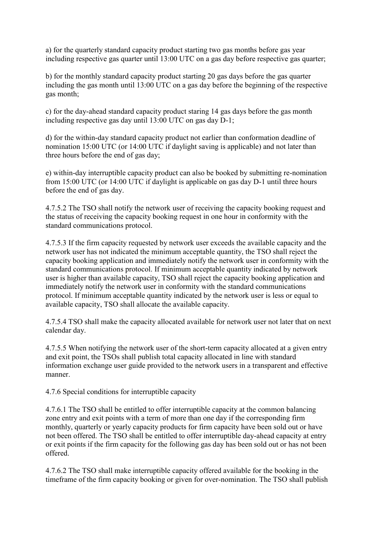a) for the quarterly standard capacity product starting two gas months before gas year including respective gas quarter until 13:00 UTC on a gas day before respective gas quarter;

b) for the monthly standard capacity product starting 20 gas days before the gas quarter including the gas month until 13:00 UTC on a gas day before the beginning of the respective gas month;

c) for the day-ahead standard capacity product staring 14 gas days before the gas month including respective gas day until 13:00 UTC on gas day D-1;

d) for the within-day standard capacity product not earlier than conformation deadline of nomination 15:00 UTC (or 14:00 UTC if daylight saving is applicable) and not later than three hours before the end of gas day;

e) within-day interruptible capacity product can also be booked by submitting re-nomination from 15:00 UTC (or 14:00 UTC if daylight is applicable on gas day D-1 until three hours before the end of gas day.

4.7.5.2 The TSO shall notify the network user of receiving the capacity booking request and the status of receiving the capacity booking request in one hour in conformity with the standard communications protocol.

4.7.5.3 If the firm capacity requested by network user exceeds the available capacity and the network user has not indicated the minimum acceptable quantity, the TSO shall reject the capacity booking application and immediately notify the network user in conformity with the standard communications protocol. If minimum acceptable quantity indicated by network user is higher than available capacity, TSO shall reject the capacity booking application and immediately notify the network user in conformity with the standard communications protocol. If minimum acceptable quantity indicated by the network user is less or equal to available capacity, TSO shall allocate the available capacity.

4.7.5.4 TSO shall make the capacity allocated available for network user not later that on next calendar day.

4.7.5.5 When notifying the network user of the short-term capacity allocated at a given entry and exit point, the TSOs shall publish total capacity allocated in line with standard information exchange user guide provided to the network users in a transparent and effective manner.

4.7.6 Special conditions for interruptible capacity

4.7.6.1 The TSO shall be entitled to offer interruptible capacity at the common balancing zone entry and exit points with a term of more than one day if the corresponding firm monthly, quarterly or yearly capacity products for firm capacity have been sold out or have not been offered. The TSO shall be entitled to offer interruptible day-ahead capacity at entry or exit points if the firm capacity for the following gas day has been sold out or has not been offered.

4.7.6.2 The TSO shall make interruptible capacity offered available for the booking in the timeframe of the firm capacity booking or given for over-nomination. The TSO shall publish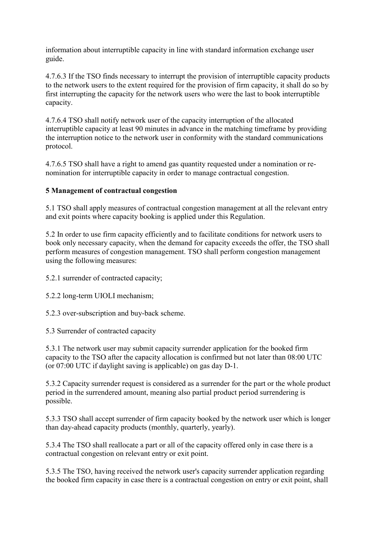information about interruptible capacity in line with standard information exchange user guide.

4.7.6.3 If the TSO finds necessary to interrupt the provision of interruptible capacity products to the network users to the extent required for the provision of firm capacity, it shall do so by first interrupting the capacity for the network users who were the last to book interruptible capacity.

4.7.6.4 TSO shall notify network user of the capacity interruption of the allocated interruptible capacity at least 90 minutes in advance in the matching timeframe by providing the interruption notice to the network user in conformity with the standard communications protocol.

4.7.6.5 TSO shall have a right to amend gas quantity requested under a nomination or renomination for interruptible capacity in order to manage contractual congestion.

## **5 Management of contractual congestion**

5.1 TSO shall apply measures of contractual congestion management at all the relevant entry and exit points where capacity booking is applied under this Regulation.

5.2 In order to use firm capacity efficiently and to facilitate conditions for network users to book only necessary capacity, when the demand for capacity exceeds the offer, the TSO shall perform measures of congestion management. TSO shall perform congestion management using the following measures:

5.2.1 surrender of contracted capacity;

5.2.2 long-term UIOLI mechanism;

5.2.3 over-subscription and buy-back scheme.

5.3 Surrender of contracted capacity

5.3.1 The network user may submit capacity surrender application for the booked firm capacity to the TSO after the capacity allocation is confirmed but not later than 08:00 UTC (or 07:00 UTC if daylight saving is applicable) on gas day D-1.

5.3.2 Capacity surrender request is considered as a surrender for the part or the whole product period in the surrendered amount, meaning also partial product period surrendering is possible.

5.3.3 TSO shall accept surrender of firm capacity booked by the network user which is longer than day-ahead capacity products (monthly, quarterly, yearly).

5.3.4 The TSO shall reallocate a part or all of the capacity offered only in case there is a contractual congestion on relevant entry or exit point.

5.3.5 The TSO, having received the network user's capacity surrender application regarding the booked firm capacity in case there is a contractual congestion on entry or exit point, shall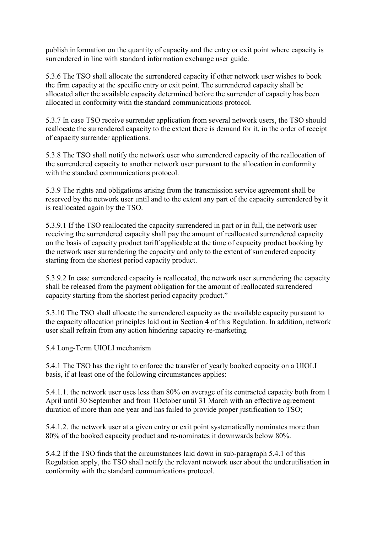publish information on the quantity of capacity and the entry or exit point where capacity is surrendered in line with standard information exchange user guide.

5.3.6 The TSO shall allocate the surrendered capacity if other network user wishes to book the firm capacity at the specific entry or exit point. The surrendered capacity shall be allocated after the available capacity determined before the surrender of capacity has been allocated in conformity with the standard communications protocol.

5.3.7 In case TSO receive surrender application from several network users, the TSO should reallocate the surrendered capacity to the extent there is demand for it, in the order of receipt of capacity surrender applications.

5.3.8 The TSO shall notify the network user who surrendered capacity of the reallocation of the surrendered capacity to another network user pursuant to the allocation in conformity with the standard communications protocol.

5.3.9 The rights and obligations arising from the transmission service agreement shall be reserved by the network user until and to the extent any part of the capacity surrendered by it is reallocated again by the TSO.

5.3.9.1 If the TSO reallocated the capacity surrendered in part or in full, the network user receiving the surrendered capacity shall pay the amount of reallocated surrendered capacity on the basis of capacity product tariff applicable at the time of capacity product booking by the network user surrendering the capacity and only to the extent of surrendered capacity starting from the shortest period capacity product.

5.3.9.2 In case surrendered capacity is reallocated, the network user surrendering the capacity shall be released from the payment obligation for the amount of reallocated surrendered capacity starting from the shortest period capacity product."

5.3.10 The TSO shall allocate the surrendered capacity as the available capacity pursuant to the capacity allocation principles laid out in Section 4 of this Regulation. In addition, network user shall refrain from any action hindering capacity re-marketing.

5.4 Long-Term UIOLI mechanism

5.4.1 The TSO has the right to enforce the transfer of yearly booked capacity on a UIOLI basis, if at least one of the following circumstances applies:

5.4.1.1. the network user uses less than 80% on average of its contracted capacity both from 1 April until 30 September and from 1October until 31 March with an effective agreement duration of more than one year and has failed to provide proper justification to TSO;

5.4.1.2. the network user at a given entry or exit point systematically nominates more than 80% of the booked capacity product and re-nominates it downwards below 80%.

5.4.2 If the TSO finds that the circumstances laid down in sub-paragraph 5.4.1 of this Regulation apply, the TSO shall notify the relevant network user about the underutilisation in conformity with the standard communications protocol.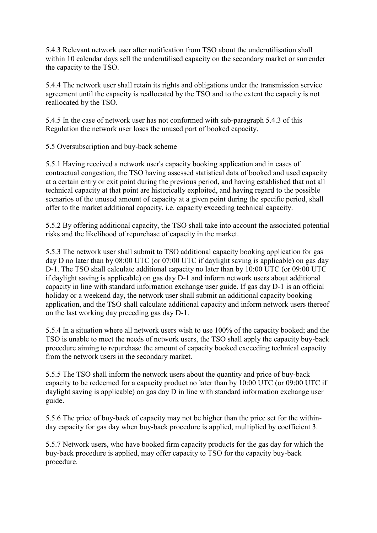5.4.3 Relevant network user after notification from TSO about the underutilisation shall within 10 calendar days sell the underutilised capacity on the secondary market or surrender the capacity to the TSO.

5.4.4 The network user shall retain its rights and obligations under the transmission service agreement until the capacity is reallocated by the TSO and to the extent the capacity is not reallocated by the TSO.

5.4.5 In the case of network user has not conformed with sub-paragraph 5.4.3 of this Regulation the network user loses the unused part of booked capacity.

5.5 Oversubscription and buy-back scheme

5.5.1 Having received a network user's capacity booking application and in cases of contractual congestion, the TSO having assessed statistical data of booked and used capacity at a certain entry or exit point during the previous period, and having established that not all technical capacity at that point are historically exploited, and having regard to the possible scenarios of the unused amount of capacity at a given point during the specific period, shall offer to the market additional capacity, i.e. capacity exceeding technical capacity.

5.5.2 By offering additional capacity, the TSO shall take into account the associated potential risks and the likelihood of repurchase of capacity in the market.

5.5.3 The network user shall submit to TSO additional capacity booking application for gas day D no later than by 08:00 UTC (or 07:00 UTC if daylight saving is applicable) on gas day D-1. The TSO shall calculate additional capacity no later than by 10:00 UTC (or 09:00 UTC if daylight saving is applicable) on gas day D-1 and inform network users about additional capacity in line with standard information exchange user guide. If gas day D-1 is an official holiday or a weekend day, the network user shall submit an additional capacity booking application, and the TSO shall calculate additional capacity and inform network users thereof on the last working day preceding gas day D-1.

5.5.4 In a situation where all network users wish to use 100% of the capacity booked; and the TSO is unable to meet the needs of network users, the TSO shall apply the capacity buy-back procedure aiming to repurchase the amount of capacity booked exceeding technical capacity from the network users in the secondary market.

5.5.5 The TSO shall inform the network users about the quantity and price of buy-back capacity to be redeemed for a capacity product no later than by 10:00 UTC (or 09:00 UTC if daylight saving is applicable) on gas day D in line with standard information exchange user guide.

5.5.6 The price of buy-back of capacity may not be higher than the price set for the withinday capacity for gas day when buy-back procedure is applied, multiplied by coefficient 3.

5.5.7 Network users, who have booked firm capacity products for the gas day for which the buy-back procedure is applied, may offer capacity to TSO for the capacity buy-back procedure.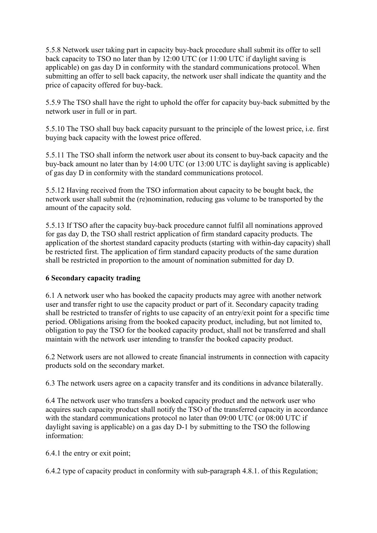5.5.8 Network user taking part in capacity buy-back procedure shall submit its offer to sell back capacity to TSO no later than by 12:00 UTC (or 11:00 UTC if daylight saving is applicable) on gas day D in conformity with the standard communications protocol. When submitting an offer to sell back capacity, the network user shall indicate the quantity and the price of capacity offered for buy-back.

5.5.9 The TSO shall have the right to uphold the offer for capacity buy-back submitted by the network user in full or in part.

5.5.10 The TSO shall buy back capacity pursuant to the principle of the lowest price, i.e. first buying back capacity with the lowest price offered.

5.5.11 The TSO shall inform the network user about its consent to buy-back capacity and the buy-back amount no later than by 14:00 UTC (or 13:00 UTC is daylight saving is applicable) of gas day D in conformity with the standard communications protocol.

5.5.12 Having received from the TSO information about capacity to be bought back, the network user shall submit the (re)nomination, reducing gas volume to be transported by the amount of the capacity sold.

5.5.13 If TSO after the capacity buy-back procedure cannot fulfil all nominations approved for gas day D, the TSO shall restrict application of firm standard capacity products. The application of the shortest standard capacity products (starting with within-day capacity) shall be restricted first. The application of firm standard capacity products of the same duration shall be restricted in proportion to the amount of nomination submitted for day D.

### **6 Secondary capacity trading**

6.1 A network user who has booked the capacity products may agree with another network user and transfer right to use the capacity product or part of it. Secondary capacity trading shall be restricted to transfer of rights to use capacity of an entry/exit point for a specific time period. Obligations arising from the booked capacity product, including, but not limited to, obligation to pay the TSO for the booked capacity product, shall not be transferred and shall maintain with the network user intending to transfer the booked capacity product.

6.2 Network users are not allowed to create financial instruments in connection with capacity products sold on the secondary market.

6.3 The network users agree on a capacity transfer and its conditions in advance bilaterally.

6.4 The network user who transfers a booked capacity product and the network user who acquires such capacity product shall notify the TSO of the transferred capacity in accordance with the standard communications protocol no later than 09:00 UTC (or 08:00 UTC if daylight saving is applicable) on a gas day D-1 by submitting to the TSO the following information:

6.4.1 the entry or exit point;

6.4.2 type of capacity product in conformity with sub-paragraph 4.8.1. of this Regulation;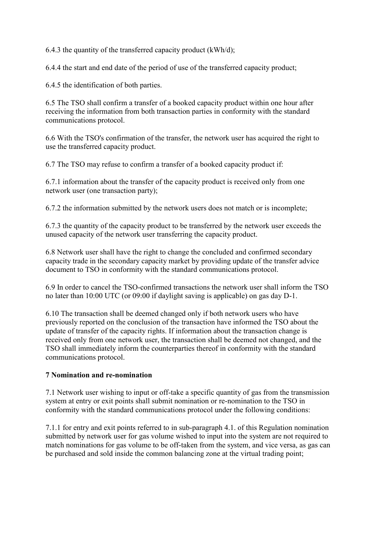6.4.3 the quantity of the transferred capacity product  $(kWh/d)$ ;

6.4.4 the start and end date of the period of use of the transferred capacity product;

6.4.5 the identification of both parties.

6.5 The TSO shall confirm a transfer of a booked capacity product within one hour after receiving the information from both transaction parties in conformity with the standard communications protocol.

6.6 With the TSO's confirmation of the transfer, the network user has acquired the right to use the transferred capacity product.

6.7 The TSO may refuse to confirm a transfer of a booked capacity product if:

6.7.1 information about the transfer of the capacity product is received only from one network user (one transaction party);

6.7.2 the information submitted by the network users does not match or is incomplete;

6.7.3 the quantity of the capacity product to be transferred by the network user exceeds the unused capacity of the network user transferring the capacity product.

6.8 Network user shall have the right to change the concluded and confirmed secondary capacity trade in the secondary capacity market by providing update of the transfer advice document to TSO in conformity with the standard communications protocol.

6.9 In order to cancel the TSO-confirmed transactions the network user shall inform the TSO no later than 10:00 UTC (or 09:00 if daylight saving is applicable) on gas day D-1.

6.10 The transaction shall be deemed changed only if both network users who have previously reported on the conclusion of the transaction have informed the TSO about the update of transfer of the capacity rights. If information about the transaction change is received only from one network user, the transaction shall be deemed not changed, and the TSO shall immediately inform the counterparties thereof in conformity with the standard communications protocol.

#### **7 Nomination and re-nomination**

7.1 Network user wishing to input or off-take a specific quantity of gas from the transmission system at entry or exit points shall submit nomination or re-nomination to the TSO in conformity with the standard communications protocol under the following conditions:

7.1.1 for entry and exit points referred to in sub-paragraph 4.1. of this Regulation nomination submitted by network user for gas volume wished to input into the system are not required to match nominations for gas volume to be off-taken from the system, and vice versa, as gas can be purchased and sold inside the common balancing zone at the virtual trading point;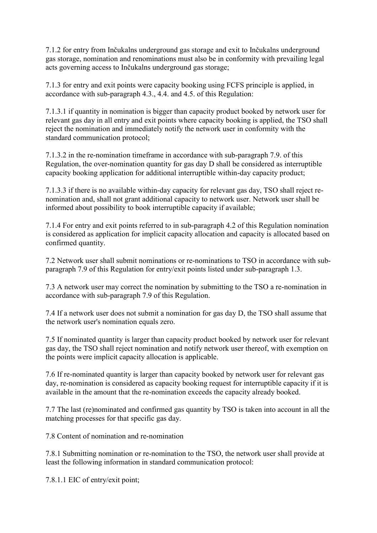7.1.2 for entry from Inčukalns underground gas storage and exit to Inčukalns underground gas storage, nomination and renominations must also be in conformity with prevailing legal acts governing access to Inčukalns underground gas storage;

7.1.3 for entry and exit points were capacity booking using FCFS principle is applied, in accordance with sub-paragraph 4.3., 4.4. and 4.5. of this Regulation:

7.1.3.1 if quantity in nomination is bigger than capacity product booked by network user for relevant gas day in all entry and exit points where capacity booking is applied, the TSO shall reject the nomination and immediately notify the network user in conformity with the standard communication protocol;

7.1.3.2 in the re-nomination timeframe in accordance with sub-paragraph 7.9. of this Regulation, the over-nomination quantity for gas day D shall be considered as interruptible capacity booking application for additional interruptible within-day capacity product;

7.1.3.3 if there is no available within-day capacity for relevant gas day, TSO shall reject renomination and, shall not grant additional capacity to network user. Network user shall be informed about possibility to book interruptible capacity if available;

7.1.4 For entry and exit points referred to in sub-paragraph 4.2 of this Regulation nomination is considered as application for implicit capacity allocation and capacity is allocated based on confirmed quantity.

7.2 Network user shall submit nominations or re-nominations to TSO in accordance with subparagraph 7.9 of this Regulation for entry/exit points listed under sub-paragraph 1.3.

7.3 A network user may correct the nomination by submitting to the TSO a re-nomination in accordance with sub-paragraph 7.9 of this Regulation.

7.4 If a network user does not submit a nomination for gas day D, the TSO shall assume that the network user's nomination equals zero.

7.5 If nominated quantity is larger than capacity product booked by network user for relevant gas day, the TSO shall reject nomination and notify network user thereof, with exemption on the points were implicit capacity allocation is applicable.

7.6 If re-nominated quantity is larger than capacity booked by network user for relevant gas day, re-nomination is considered as capacity booking request for interruptible capacity if it is available in the amount that the re-nomination exceeds the capacity already booked.

7.7 The last (re)nominated and confirmed gas quantity by TSO is taken into account in all the matching processes for that specific gas day.

7.8 Content of nomination and re-nomination

7.8.1 Submitting nomination or re-nomination to the TSO, the network user shall provide at least the following information in standard communication protocol:

7.8.1.1 EIC of entry/exit point;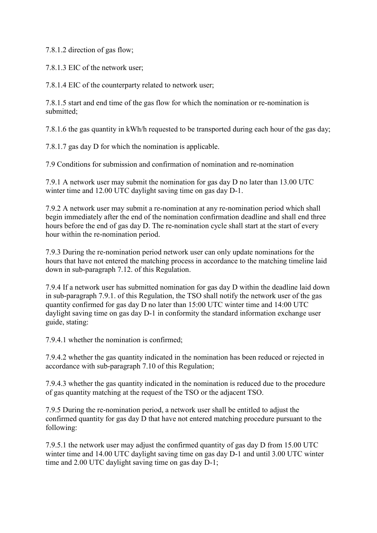7.8.1.2 direction of gas flow;

7.8.1.3 EIC of the network user;

7.8.1.4 EIC of the counterparty related to network user;

7.8.1.5 start and end time of the gas flow for which the nomination or re-nomination is submitted<sup>-</sup>

7.8.1.6 the gas quantity in kWh/h requested to be transported during each hour of the gas day;

7.8.1.7 gas day D for which the nomination is applicable.

7.9 Conditions for submission and confirmation of nomination and re-nomination

7.9.1 A network user may submit the nomination for gas day D no later than 13.00 UTC winter time and 12.00 UTC daylight saving time on gas day D-1.

7.9.2 A network user may submit a re-nomination at any re-nomination period which shall begin immediately after the end of the nomination confirmation deadline and shall end three hours before the end of gas day D. The re-nomination cycle shall start at the start of every hour within the re-nomination period.

7.9.3 During the re-nomination period network user can only update nominations for the hours that have not entered the matching process in accordance to the matching timeline laid down in sub-paragraph 7.12. of this Regulation.

7.9.4 If a network user has submitted nomination for gas day D within the deadline laid down in sub-paragraph 7.9.1. of this Regulation, the TSO shall notify the network user of the gas quantity confirmed for gas day D no later than 15:00 UTC winter time and 14:00 UTC daylight saving time on gas day D-1 in conformity the standard information exchange user guide, stating:

7.9.4.1 whether the nomination is confirmed;

7.9.4.2 whether the gas quantity indicated in the nomination has been reduced or rejected in accordance with sub-paragraph 7.10 of this Regulation;

7.9.4.3 whether the gas quantity indicated in the nomination is reduced due to the procedure of gas quantity matching at the request of the TSO or the adjacent TSO.

7.9.5 During the re-nomination period, a network user shall be entitled to adjust the confirmed quantity for gas day D that have not entered matching procedure pursuant to the following:

7.9.5.1 the network user may adjust the confirmed quantity of gas day D from 15.00 UTC winter time and 14.00 UTC daylight saving time on gas day D-1 and until 3.00 UTC winter time and 2.00 UTC daylight saving time on gas day D-1;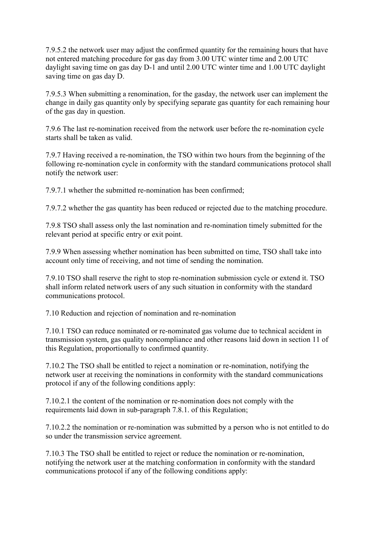7.9.5.2 the network user may adjust the confirmed quantity for the remaining hours that have not entered matching procedure for gas day from 3.00 UTC winter time and 2.00 UTC daylight saving time on gas day D-1 and until 2.00 UTC winter time and 1.00 UTC daylight saving time on gas day D.

7.9.5.3 When submitting a renomination, for the gasday, the network user can implement the change in daily gas quantity only by specifying separate gas quantity for each remaining hour of the gas day in question.

7.9.6 The last re-nomination received from the network user before the re-nomination cycle starts shall be taken as valid.

7.9.7 Having received a re-nomination, the TSO within two hours from the beginning of the following re-nomination cycle in conformity with the standard communications protocol shall notify the network user:

7.9.7.1 whether the submitted re-nomination has been confirmed;

7.9.7.2 whether the gas quantity has been reduced or rejected due to the matching procedure.

7.9.8 TSO shall assess only the last nomination and re-nomination timely submitted for the relevant period at specific entry or exit point.

7.9.9 When assessing whether nomination has been submitted on time, TSO shall take into account only time of receiving, and not time of sending the nomination.

7.9.10 TSO shall reserve the right to stop re-nomination submission cycle or extend it. TSO shall inform related network users of any such situation in conformity with the standard communications protocol.

7.10 Reduction and rejection of nomination and re-nomination

7.10.1 TSO can reduce nominated or re-nominated gas volume due to technical accident in transmission system, gas quality noncompliance and other reasons laid down in section 11 of this Regulation, proportionally to confirmed quantity.

7.10.2 The TSO shall be entitled to reject a nomination or re-nomination, notifying the network user at receiving the nominations in conformity with the standard communications protocol if any of the following conditions apply:

7.10.2.1 the content of the nomination or re-nomination does not comply with the requirements laid down in sub-paragraph 7.8.1. of this Regulation;

7.10.2.2 the nomination or re-nomination was submitted by a person who is not entitled to do so under the transmission service agreement.

7.10.3 The TSO shall be entitled to reject or reduce the nomination or re-nomination, notifying the network user at the matching conformation in conformity with the standard communications protocol if any of the following conditions apply: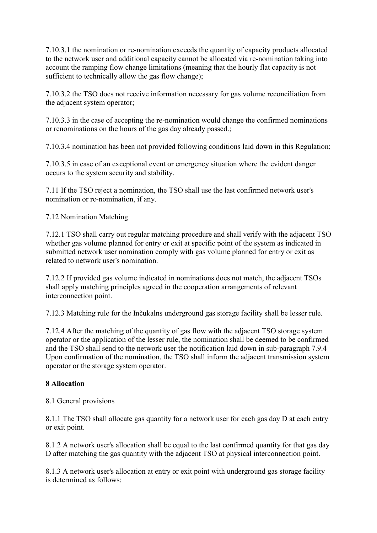7.10.3.1 the nomination or re-nomination exceeds the quantity of capacity products allocated to the network user and additional capacity cannot be allocated via re-nomination taking into account the ramping flow change limitations (meaning that the hourly flat capacity is not sufficient to technically allow the gas flow change);

7.10.3.2 the TSO does not receive information necessary for gas volume reconciliation from the adjacent system operator;

7.10.3.3 in the case of accepting the re-nomination would change the confirmed nominations or renominations on the hours of the gas day already passed.;

7.10.3.4 nomination has been not provided following conditions laid down in this Regulation;

7.10.3.5 in case of an exceptional event or emergency situation where the evident danger occurs to the system security and stability.

7.11 If the TSO reject a nomination, the TSO shall use the last confirmed network user's nomination or re-nomination, if any.

7.12 Nomination Matching

7.12.1 TSO shall carry out regular matching procedure and shall verify with the adjacent TSO whether gas volume planned for entry or exit at specific point of the system as indicated in submitted network user nomination comply with gas volume planned for entry or exit as related to network user's nomination.

7.12.2 If provided gas volume indicated in nominations does not match, the adjacent TSOs shall apply matching principles agreed in the cooperation arrangements of relevant interconnection point.

7.12.3 Matching rule for the Inčukalns underground gas storage facility shall be lesser rule.

7.12.4 After the matching of the quantity of gas flow with the adjacent TSO storage system operator or the application of the lesser rule, the nomination shall be deemed to be confirmed and the TSO shall send to the network user the notification laid down in sub-paragraph 7.9.4 Upon confirmation of the nomination, the TSO shall inform the adjacent transmission system operator or the storage system operator.

### **8 Allocation**

8.1 General provisions

8.1.1 The TSO shall allocate gas quantity for a network user for each gas day D at each entry or exit point.

8.1.2 A network user's allocation shall be equal to the last confirmed quantity for that gas day D after matching the gas quantity with the adjacent TSO at physical interconnection point.

8.1.3 A network user's allocation at entry or exit point with underground gas storage facility is determined as follows: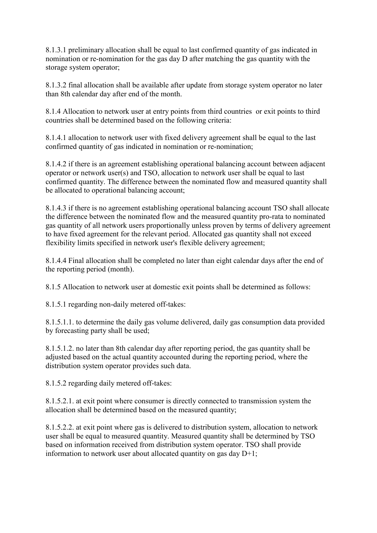8.1.3.1 preliminary allocation shall be equal to last confirmed quantity of gas indicated in nomination or re-nomination for the gas day D after matching the gas quantity with the storage system operator;

8.1.3.2 final allocation shall be available after update from storage system operator no later than 8th calendar day after end of the month.

8.1.4 Allocation to network user at entry points from third countries or exit points to third countries shall be determined based on the following criteria:

8.1.4.1 allocation to network user with fixed delivery agreement shall be equal to the last confirmed quantity of gas indicated in nomination or re-nomination;

8.1.4.2 if there is an agreement establishing operational balancing account between adjacent operator or network user(s) and TSO, allocation to network user shall be equal to last confirmed quantity. The difference between the nominated flow and measured quantity shall be allocated to operational balancing account;

8.1.4.3 if there is no agreement establishing operational balancing account TSO shall allocate the difference between the nominated flow and the measured quantity pro-rata to nominated gas quantity of all network users proportionally unless proven by terms of delivery agreement to have fixed agreement for the relevant period. Allocated gas quantity shall not exceed flexibility limits specified in network user's flexible delivery agreement;

8.1.4.4 Final allocation shall be completed no later than eight calendar days after the end of the reporting period (month).

8.1.5 Allocation to network user at domestic exit points shall be determined as follows:

8.1.5.1 regarding non-daily metered off-takes:

8.1.5.1.1. to determine the daily gas volume delivered, daily gas consumption data provided by forecasting party shall be used;

8.1.5.1.2. no later than 8th calendar day after reporting period, the gas quantity shall be adjusted based on the actual quantity accounted during the reporting period, where the distribution system operator provides such data.

8.1.5.2 regarding daily metered off-takes:

8.1.5.2.1. at exit point where consumer is directly connected to transmission system the allocation shall be determined based on the measured quantity;

8.1.5.2.2. at exit point where gas is delivered to distribution system, allocation to network user shall be equal to measured quantity. Measured quantity shall be determined by TSO based on information received from distribution system operator. TSO shall provide information to network user about allocated quantity on gas day D+1;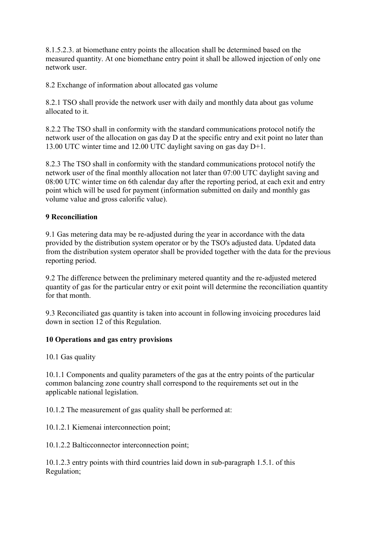8.1.5.2.3. at biomethane entry points the allocation shall be determined based on the measured quantity. At one biomethane entry point it shall be allowed injection of only one network user.

8.2 Exchange of information about allocated gas volume

8.2.1 TSO shall provide the network user with daily and monthly data about gas volume allocated to it.

8.2.2 The TSO shall in conformity with the standard communications protocol notify the network user of the allocation on gas day D at the specific entry and exit point no later than 13.00 UTC winter time and 12.00 UTC daylight saving on gas day D+1.

8.2.3 The TSO shall in conformity with the standard communications protocol notify the network user of the final monthly allocation not later than 07:00 UTC daylight saving and 08:00 UTC winter time on 6th calendar day after the reporting period, at each exit and entry point which will be used for payment (information submitted on daily and monthly gas volume value and gross calorific value).

### **9 Reconciliation**

9.1 Gas metering data may be re-adjusted during the year in accordance with the data provided by the distribution system operator or by the TSO's adjusted data. Updated data from the distribution system operator shall be provided together with the data for the previous reporting period.

9.2 The difference between the preliminary metered quantity and the re-adjusted metered quantity of gas for the particular entry or exit point will determine the reconciliation quantity for that month.

9.3 Reconciliated gas quantity is taken into account in following invoicing procedures laid down in section 12 of this Regulation.

### **10 Operations and gas entry provisions**

10.1 Gas quality

10.1.1 Components and quality parameters of the gas at the entry points of the particular common balancing zone country shall correspond to the requirements set out in the applicable national legislation.

10.1.2 The measurement of gas quality shall be performed at:

10.1.2.1 Kiemenai interconnection point;

10.1.2.2 Balticconnector interconnection point;

10.1.2.3 entry points with third countries laid down in sub-paragraph 1.5.1. of this Regulation;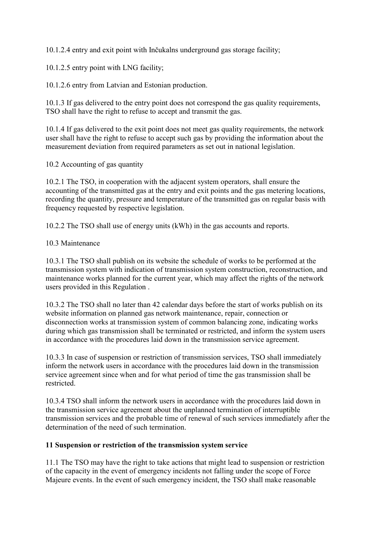10.1.2.4 entry and exit point with Inčukalns underground gas storage facility;

10.1.2.5 entry point with LNG facility;

10.1.2.6 entry from Latvian and Estonian production.

10.1.3 If gas delivered to the entry point does not correspond the gas quality requirements, TSO shall have the right to refuse to accept and transmit the gas.

10.1.4 If gas delivered to the exit point does not meet gas quality requirements, the network user shall have the right to refuse to accept such gas by providing the information about the measurement deviation from required parameters as set out in national legislation.

10.2 Accounting of gas quantity

10.2.1 The TSO, in cooperation with the adjacent system operators, shall ensure the accounting of the transmitted gas at the entry and exit points and the gas metering locations, recording the quantity, pressure and temperature of the transmitted gas on regular basis with frequency requested by respective legislation.

10.2.2 The TSO shall use of energy units (kWh) in the gas accounts and reports.

#### 10.3 Maintenance

10.3.1 The TSO shall publish on its website the schedule of works to be performed at the transmission system with indication of transmission system construction, reconstruction, and maintenance works planned for the current year, which may affect the rights of the network users provided in this Regulation .

10.3.2 The TSO shall no later than 42 calendar days before the start of works publish on its website information on planned gas network maintenance, repair, connection or disconnection works at transmission system of common balancing zone, indicating works during which gas transmission shall be terminated or restricted, and inform the system users in accordance with the procedures laid down in the transmission service agreement.

10.3.3 In case of suspension or restriction of transmission services, TSO shall immediately inform the network users in accordance with the procedures laid down in the transmission service agreement since when and for what period of time the gas transmission shall be restricted.

10.3.4 TSO shall inform the network users in accordance with the procedures laid down in the transmission service agreement about the unplanned termination of interruptible transmission services and the probable time of renewal of such services immediately after the determination of the need of such termination.

### **11 Suspension or restriction of the transmission system service**

11.1 The TSO may have the right to take actions that might lead to suspension or restriction of the capacity in the event of emergency incidents not falling under the scope of Force Majeure events. In the event of such emergency incident, the TSO shall make reasonable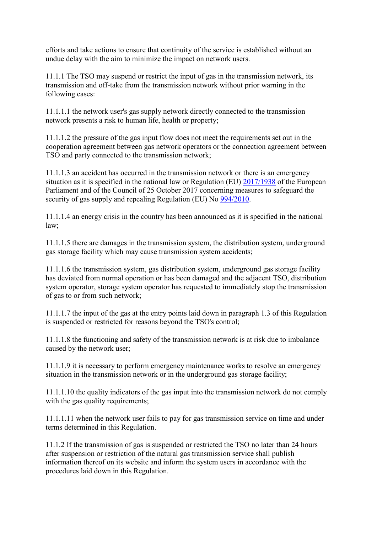efforts and take actions to ensure that continuity of the service is established without an undue delay with the aim to minimize the impact on network users.

11.1.1 The TSO may suspend or restrict the input of gas in the transmission network, its transmission and off-take from the transmission network without prior warning in the following cases:

11.1.1.1 the network user's gas supply network directly connected to the transmission network presents a risk to human life, health or property;

11.1.1.2 the pressure of the gas input flow does not meet the requirements set out in the cooperation agreement between gas network operators or the connection agreement between TSO and party connected to the transmission network;

11.1.1.3 an accident has occurred in the transmission network or there is an emergency situation as it is specified in the national law or Regulation (EU)  $\frac{2017}{1938}$  of the European Parliament and of the Council of 25 October 2017 concerning measures to safeguard the security of gas supply and repealing Regulation (EU) No [994/2010.](http://eur-lex.europa.eu/eli/reg/2010/994/oj/?locale=LV)

11.1.1.4 an energy crisis in the country has been announced as it is specified in the national law;

11.1.1.5 there are damages in the transmission system, the distribution system, underground gas storage facility which may cause transmission system accidents;

11.1.1.6 the transmission system, gas distribution system, underground gas storage facility has deviated from normal operation or has been damaged and the adjacent TSO, distribution system operator, storage system operator has requested to immediately stop the transmission of gas to or from such network;

11.1.1.7 the input of the gas at the entry points laid down in paragraph 1.3 of this Regulation is suspended or restricted for reasons beyond the TSO's control;

11.1.1.8 the functioning and safety of the transmission network is at risk due to imbalance caused by the network user;

11.1.1.9 it is necessary to perform emergency maintenance works to resolve an emergency situation in the transmission network or in the underground gas storage facility;

11.1.1.10 the quality indicators of the gas input into the transmission network do not comply with the gas quality requirements;

11.1.1.11 when the network user fails to pay for gas transmission service on time and under terms determined in this Regulation.

11.1.2 If the transmission of gas is suspended or restricted the TSO no later than 24 hours after suspension or restriction of the natural gas transmission service shall publish information thereof on its website and inform the system users in accordance with the procedures laid down in this Regulation.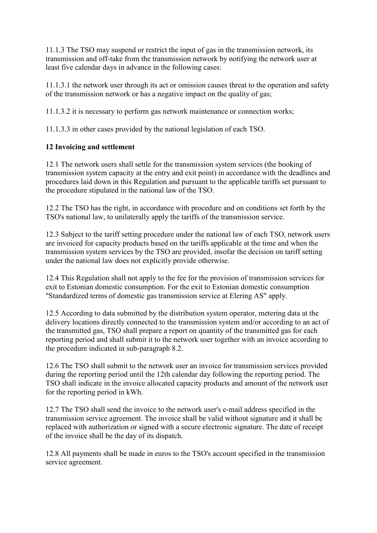11.1.3 The TSO may suspend or restrict the input of gas in the transmission network, its transmission and off-take from the transmission network by notifying the network user at least five calendar days in advance in the following cases:

11.1.3.1 the network user through its act or omission causes threat to the operation and safety of the transmission network or has a negative impact on the quality of gas;

11.1.3.2 it is necessary to perform gas network maintenance or connection works;

11.1.3.3 in other cases provided by the national legislation of each TSO.

## **12 Invoicing and settlement**

12.1 The network users shall settle for the transmission system services (the booking of transmission system capacity at the entry and exit point) in accordance with the deadlines and procedures laid down in this Regulation and pursuant to the applicable tariffs set pursuant to the procedure stipulated in the national law of the TSO.

12.2 The TSO has the right, in accordance with procedure and on conditions set forth by the TSO's national law, to unilaterally apply the tariffs of the transmission service.

12.3 Subject to the tariff setting procedure under the national law of each TSO, network users are invoiced for capacity products based on the tariffs applicable at the time and when the transmission system services by the TSO are provided, insofar the decision on tariff setting under the national law does not explicitly provide otherwise.

12.4 This Regulation shall not apply to the fee for the provision of transmission services for exit to Estonian domestic consumption. For the exit to Estonian domestic consumption "Standardized terms of domestic gas transmission service at Elering AS" apply.

12.5 According to data submitted by the distribution system operator, metering data at the delivery locations directly connected to the transmission system and/or according to an act of the transmitted gas, TSO shall prepare a report on quantity of the transmitted gas for each reporting period and shall submit it to the network user together with an invoice according to the procedure indicated in sub-paragraph 8.2.

12.6 The TSO shall submit to the network user an invoice for transmission services provided during the reporting period until the 12th calendar day following the reporting period. The TSO shall indicate in the invoice allocated capacity products and amount of the network user for the reporting period in kWh.

12.7 The TSO shall send the invoice to the network user's e-mail address specified in the transmission service agreement. The invoice shall be valid without signature and it shall be replaced with authorization or signed with a secure electronic signature. The date of receipt of the invoice shall be the day of its dispatch.

12.8 All payments shall be made in euros to the TSO's account specified in the transmission service agreement.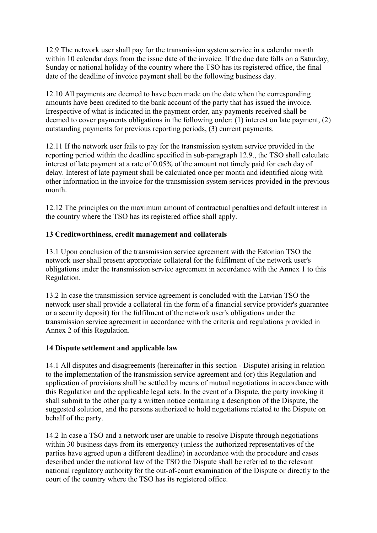12.9 The network user shall pay for the transmission system service in a calendar month within 10 calendar days from the issue date of the invoice. If the due date falls on a Saturday, Sunday or national holiday of the country where the TSO has its registered office, the final date of the deadline of invoice payment shall be the following business day.

12.10 All payments are deemed to have been made on the date when the corresponding amounts have been credited to the bank account of the party that has issued the invoice. Irrespective of what is indicated in the payment order, any payments received shall be deemed to cover payments obligations in the following order: (1) interest on late payment, (2) outstanding payments for previous reporting periods, (3) current payments.

12.11 If the network user fails to pay for the transmission system service provided in the reporting period within the deadline specified in sub-paragraph 12.9., the TSO shall calculate interest of late payment at a rate of 0.05% of the amount not timely paid for each day of delay. Interest of late payment shall be calculated once per month and identified along with other information in the invoice for the transmission system services provided in the previous month.

12.12 The principles on the maximum amount of contractual penalties and default interest in the country where the TSO has its registered office shall apply.

### **13 Creditworthiness, credit management and collaterals**

13.1 Upon conclusion of the transmission service agreement with the Estonian TSO the network user shall present appropriate collateral for the fulfilment of the network user's obligations under the transmission service agreement in accordance with the Annex 1 to this Regulation.

13.2 In case the transmission service agreement is concluded with the Latvian TSO the network user shall provide a collateral (in the form of a financial service provider's guarantee or a security deposit) for the fulfilment of the network user's obligations under the transmission service agreement in accordance with the criteria and regulations provided in Annex 2 of this Regulation.

### **14 Dispute settlement and applicable law**

14.1 All disputes and disagreements (hereinafter in this section - Dispute) arising in relation to the implementation of the transmission service agreement and (or) this Regulation and application of provisions shall be settled by means of mutual negotiations in accordance with this Regulation and the applicable legal acts. In the event of a Dispute, the party invoking it shall submit to the other party a written notice containing a description of the Dispute, the suggested solution, and the persons authorized to hold negotiations related to the Dispute on behalf of the party.

14.2 In case a TSO and a network user are unable to resolve Dispute through negotiations within 30 business days from its emergency (unless the authorized representatives of the parties have agreed upon a different deadline) in accordance with the procedure and cases described under the national law of the TSO the Dispute shall be referred to the relevant national regulatory authority for the out-of-court examination of the Dispute or directly to the court of the country where the TSO has its registered office.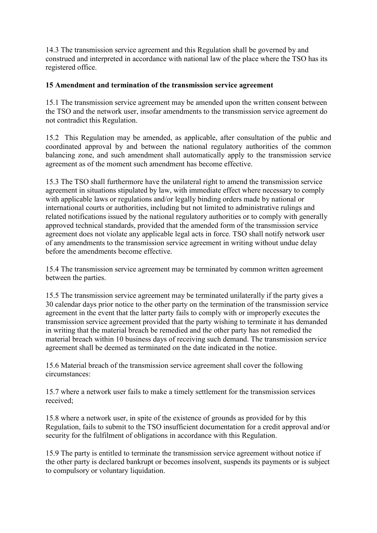14.3 The transmission service agreement and this Regulation shall be governed by and construed and interpreted in accordance with national law of the place where the TSO has its registered office.

### **15 Amendment and termination of the transmission service agreement**

15.1 The transmission service agreement may be amended upon the written consent between the TSO and the network user, insofar amendments to the transmission service agreement do not contradict this Regulation.

15.2 This Regulation may be amended, as applicable, after consultation of the public and coordinated approval by and between the national regulatory authorities of the common balancing zone, and such amendment shall automatically apply to the transmission service agreement as of the moment such amendment has become effective.

15.3 The TSO shall furthermore have the unilateral right to amend the transmission service agreement in situations stipulated by law, with immediate effect where necessary to comply with applicable laws or regulations and/or legally binding orders made by national or international courts or authorities, including but not limited to administrative rulings and related notifications issued by the national regulatory authorities or to comply with generally approved technical standards, provided that the amended form of the transmission service agreement does not violate any applicable legal acts in force. TSO shall notify network user of any amendments to the transmission service agreement in writing without undue delay before the amendments become effective.

15.4 The transmission service agreement may be terminated by common written agreement between the parties.

15.5 The transmission service agreement may be terminated unilaterally if the party gives a 30 calendar days prior notice to the other party on the termination of the transmission service agreement in the event that the latter party fails to comply with or improperly executes the transmission service agreement provided that the party wishing to terminate it has demanded in writing that the material breach be remedied and the other party has not remedied the material breach within 10 business days of receiving such demand. The transmission service agreement shall be deemed as terminated on the date indicated in the notice.

15.6 Material breach of the transmission service agreement shall cover the following circumstances:

15.7 where a network user fails to make a timely settlement for the transmission services received;

15.8 where a network user, in spite of the existence of grounds as provided for by this Regulation, fails to submit to the TSO insufficient documentation for a credit approval and/or security for the fulfilment of obligations in accordance with this Regulation.

15.9 The party is entitled to terminate the transmission service agreement without notice if the other party is declared bankrupt or becomes insolvent, suspends its payments or is subject to compulsory or voluntary liquidation.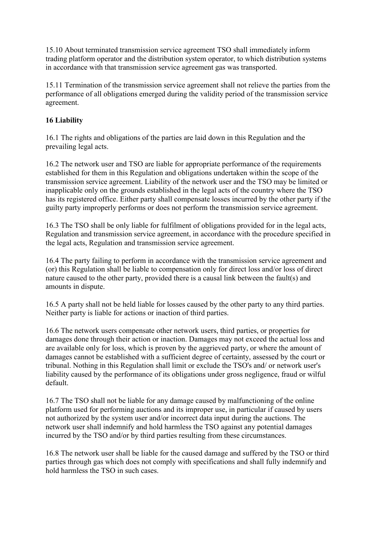15.10 About terminated transmission service agreement TSO shall immediately inform trading platform operator and the distribution system operator, to which distribution systems in accordance with that transmission service agreement gas was transported.

15.11 Termination of the transmission service agreement shall not relieve the parties from the performance of all obligations emerged during the validity period of the transmission service agreement.

### **16 Liability**

16.1 The rights and obligations of the parties are laid down in this Regulation and the prevailing legal acts.

16.2 The network user and TSO are liable for appropriate performance of the requirements established for them in this Regulation and obligations undertaken within the scope of the transmission service agreement. Liability of the network user and the TSO may be limited or inapplicable only on the grounds established in the legal acts of the country where the TSO has its registered office. Either party shall compensate losses incurred by the other party if the guilty party improperly performs or does not perform the transmission service agreement.

16.3 The TSO shall be only liable for fulfilment of obligations provided for in the legal acts, Regulation and transmission service agreement, in accordance with the procedure specified in the legal acts, Regulation and transmission service agreement.

16.4 The party failing to perform in accordance with the transmission service agreement and (or) this Regulation shall be liable to compensation only for direct loss and/or loss of direct nature caused to the other party, provided there is a causal link between the fault(s) and amounts in dispute.

16.5 A party shall not be held liable for losses caused by the other party to any third parties. Neither party is liable for actions or inaction of third parties.

16.6 The network users compensate other network users, third parties, or properties for damages done through their action or inaction. Damages may not exceed the actual loss and are available only for loss, which is proven by the aggrieved party, or where the amount of damages cannot be established with a sufficient degree of certainty, assessed by the court or tribunal. Nothing in this Regulation shall limit or exclude the TSO's and/ or network user's liability caused by the performance of its obligations under gross negligence, fraud or wilful default.

16.7 The TSO shall not be liable for any damage caused by malfunctioning of the online platform used for performing auctions and its improper use, in particular if caused by users not authorized by the system user and/or incorrect data input during the auctions. The network user shall indemnify and hold harmless the TSO against any potential damages incurred by the TSO and/or by third parties resulting from these circumstances.

16.8 The network user shall be liable for the caused damage and suffered by the TSO or third parties through gas which does not comply with specifications and shall fully indemnify and hold harmless the TSO in such cases.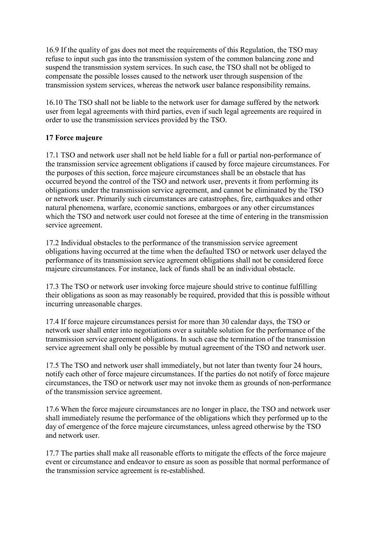16.9 If the quality of gas does not meet the requirements of this Regulation, the TSO may refuse to input such gas into the transmission system of the common balancing zone and suspend the transmission system services. In such case, the TSO shall not be obliged to compensate the possible losses caused to the network user through suspension of the transmission system services, whereas the network user balance responsibility remains.

16.10 The TSO shall not be liable to the network user for damage suffered by the network user from legal agreements with third parties, even if such legal agreements are required in order to use the transmission services provided by the TSO.

## **17 Force majeure**

17.1 TSO and network user shall not be held liable for a full or partial non-performance of the transmission service agreement obligations if caused by force majeure circumstances. For the purposes of this section, force majeure circumstances shall be an obstacle that has occurred beyond the control of the TSO and network user, prevents it from performing its obligations under the transmission service agreement, and cannot be eliminated by the TSO or network user. Primarily such circumstances are catastrophes, fire, earthquakes and other natural phenomena, warfare, economic sanctions, embargoes or any other circumstances which the TSO and network user could not foresee at the time of entering in the transmission service agreement.

17.2 Individual obstacles to the performance of the transmission service agreement obligations having occurred at the time when the defaulted TSO or network user delayed the performance of its transmission service agreement obligations shall not be considered force majeure circumstances. For instance, lack of funds shall be an individual obstacle.

17.3 The TSO or network user invoking force majeure should strive to continue fulfilling their obligations as soon as may reasonably be required, provided that this is possible without incurring unreasonable charges.

17.4 If force majeure circumstances persist for more than 30 calendar days, the TSO or network user shall enter into negotiations over a suitable solution for the performance of the transmission service agreement obligations. In such case the termination of the transmission service agreement shall only be possible by mutual agreement of the TSO and network user.

17.5 The TSO and network user shall immediately, but not later than twenty four 24 hours, notify each other of force majeure circumstances. If the parties do not notify of force majeure circumstances, the TSO or network user may not invoke them as grounds of non-performance of the transmission service agreement.

17.6 When the force majeure circumstances are no longer in place, the TSO and network user shall immediately resume the performance of the obligations which they performed up to the day of emergence of the force majeure circumstances, unless agreed otherwise by the TSO and network user.

17.7 The parties shall make all reasonable efforts to mitigate the effects of the force majeure event or circumstance and endeavor to ensure as soon as possible that normal performance of the transmission service agreement is re-established.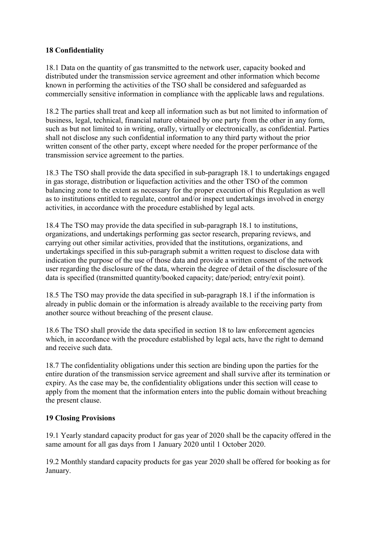# **18 Confidentiality**

18.1 Data on the quantity of gas transmitted to the network user, capacity booked and distributed under the transmission service agreement and other information which become known in performing the activities of the TSO shall be considered and safeguarded as commercially sensitive information in compliance with the applicable laws and regulations.

18.2 The parties shall treat and keep all information such as but not limited to information of business, legal, technical, financial nature obtained by one party from the other in any form, such as but not limited to in writing, orally, virtually or electronically, as confidential. Parties shall not disclose any such confidential information to any third party without the prior written consent of the other party, except where needed for the proper performance of the transmission service agreement to the parties.

18.3 The TSO shall provide the data specified in sub-paragraph 18.1 to undertakings engaged in gas storage, distribution or liquefaction activities and the other TSO of the common balancing zone to the extent as necessary for the proper execution of this Regulation as well as to institutions entitled to regulate, control and/or inspect undertakings involved in energy activities, in accordance with the procedure established by legal acts.

18.4 The TSO may provide the data specified in sub-paragraph 18.1 to institutions, organizations, and undertakings performing gas sector research, preparing reviews, and carrying out other similar activities, provided that the institutions, organizations, and undertakings specified in this sub-paragraph submit a written request to disclose data with indication the purpose of the use of those data and provide a written consent of the network user regarding the disclosure of the data, wherein the degree of detail of the disclosure of the data is specified (transmitted quantity/booked capacity; date/period; entry/exit point).

18.5 The TSO may provide the data specified in sub-paragraph 18.1 if the information is already in public domain or the information is already available to the receiving party from another source without breaching of the present clause.

18.6 The TSO shall provide the data specified in section 18 to law enforcement agencies which, in accordance with the procedure established by legal acts, have the right to demand and receive such data.

18.7 The confidentiality obligations under this section are binding upon the parties for the entire duration of the transmission service agreement and shall survive after its termination or expiry. As the case may be, the confidentiality obligations under this section will cease to apply from the moment that the information enters into the public domain without breaching the present clause.

# **19 Closing Provisions**

19.1 Yearly standard capacity product for gas year of 2020 shall be the capacity offered in the same amount for all gas days from 1 January 2020 until 1 October 2020.

19.2 Monthly standard capacity products for gas year 2020 shall be offered for booking as for January.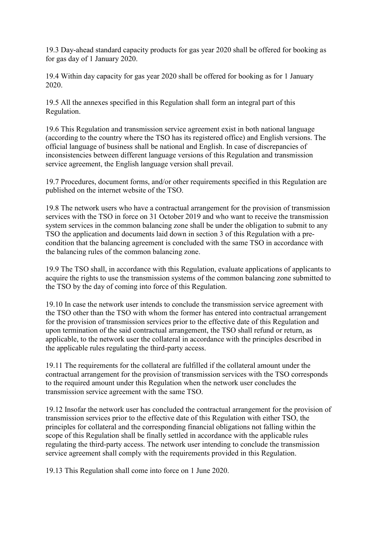19.3 Day-ahead standard capacity products for gas year 2020 shall be offered for booking as for gas day of 1 January 2020.

19.4 Within day capacity for gas year 2020 shall be offered for booking as for 1 January 2020.

19.5 All the annexes specified in this Regulation shall form an integral part of this Regulation.

19.6 This Regulation and transmission service agreement exist in both national language (according to the country where the TSO has its registered office) and English versions. The official language of business shall be national and English. In case of discrepancies of inconsistencies between different language versions of this Regulation and transmission service agreement, the English language version shall prevail.

19.7 Procedures, document forms, and/or other requirements specified in this Regulation are published on the internet website of the TSO.

19.8 The network users who have a contractual arrangement for the provision of transmission services with the TSO in force on 31 October 2019 and who want to receive the transmission system services in the common balancing zone shall be under the obligation to submit to any TSO the application and documents laid down in section 3 of this Regulation with a precondition that the balancing agreement is concluded with the same TSO in accordance with the balancing rules of the common balancing zone.

19.9 The TSO shall, in accordance with this Regulation, evaluate applications of applicants to acquire the rights to use the transmission systems of the common balancing zone submitted to the TSO by the day of coming into force of this Regulation.

19.10 In case the network user intends to conclude the transmission service agreement with the TSO other than the TSO with whom the former has entered into contractual arrangement for the provision of transmission services prior to the effective date of this Regulation and upon termination of the said contractual arrangement, the TSO shall refund or return, as applicable, to the network user the collateral in accordance with the principles described in the applicable rules regulating the third-party access.

19.11 The requirements for the collateral are fulfilled if the collateral amount under the contractual arrangement for the provision of transmission services with the TSO corresponds to the required amount under this Regulation when the network user concludes the transmission service agreement with the same TSO.

19.12 Insofar the network user has concluded the contractual arrangement for the provision of transmission services prior to the effective date of this Regulation with either TSO, the principles for collateral and the corresponding financial obligations not falling within the scope of this Regulation shall be finally settled in accordance with the applicable rules regulating the third-party access. The network user intending to conclude the transmission service agreement shall comply with the requirements provided in this Regulation.

19.13 This Regulation shall come into force on 1 June 2020.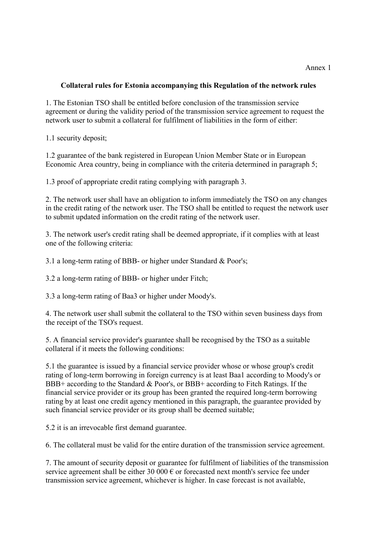#### Annex 1

#### **Collateral rules for Estonia accompanying this Regulation of the network rules**

1. The Estonian TSO shall be entitled before conclusion of the transmission service agreement or during the validity period of the transmission service agreement to request the network user to submit a collateral for fulfilment of liabilities in the form of either:

1.1 security deposit;

1.2 guarantee of the bank registered in European Union Member State or in European Economic Area country, being in compliance with the criteria determined in paragraph 5;

1.3 proof of appropriate credit rating complying with paragraph 3.

2. The network user shall have an obligation to inform immediately the TSO on any changes in the credit rating of the network user. The TSO shall be entitled to request the network user to submit updated information on the credit rating of the network user.

3. The network user's credit rating shall be deemed appropriate, if it complies with at least one of the following criteria:

3.1 a long-term rating of BBB- or higher under Standard & Poor's;

3.2 a long-term rating of BBB- or higher under Fitch;

3.3 a long-term rating of Baa3 or higher under Moody's.

4. The network user shall submit the collateral to the TSO within seven business days from the receipt of the TSO's request.

5. A financial service provider's guarantee shall be recognised by the TSO as a suitable collateral if it meets the following conditions:

5.1 the guarantee is issued by a financial service provider whose or whose group's credit rating of long-term borrowing in foreign currency is at least Baa1 according to Moody's or BBB+ according to the Standard & Poor's, or BBB+ according to Fitch Ratings. If the financial service provider or its group has been granted the required long-term borrowing rating by at least one credit agency mentioned in this paragraph, the guarantee provided by such financial service provider or its group shall be deemed suitable;

5.2 it is an irrevocable first demand guarantee.

6. The collateral must be valid for the entire duration of the transmission service agreement.

7. The amount of security deposit or guarantee for fulfilment of liabilities of the transmission service agreement shall be either 30 000  $\epsilon$  or forecasted next month's service fee under transmission service agreement, whichever is higher. In case forecast is not available,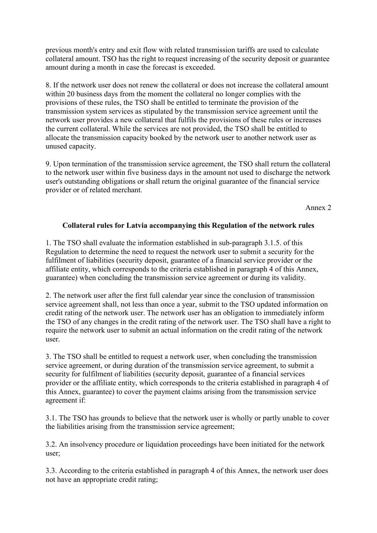previous month's entry and exit flow with related transmission tariffs are used to calculate collateral amount. TSO has the right to request increasing of the security deposit or guarantee amount during a month in case the forecast is exceeded.

8. If the network user does not renew the collateral or does not increase the collateral amount within 20 business days from the moment the collateral no longer complies with the provisions of these rules, the TSO shall be entitled to terminate the provision of the transmission system services as stipulated by the transmission service agreement until the network user provides a new collateral that fulfils the provisions of these rules or increases the current collateral. While the services are not provided, the TSO shall be entitled to allocate the transmission capacity booked by the network user to another network user as unused capacity.

9. Upon termination of the transmission service agreement, the TSO shall return the collateral to the network user within five business days in the amount not used to discharge the network user's outstanding obligations or shall return the original guarantee of the financial service provider or of related merchant.

Annex 2

### **Collateral rules for Latvia accompanying this Regulation of the network rules**

1. The TSO shall evaluate the information established in sub-paragraph 3.1.5. of this Regulation to determine the need to request the network user to submit a security for the fulfilment of liabilities (security deposit, guarantee of a financial service provider or the affiliate entity, which corresponds to the criteria established in paragraph 4 of this Annex, guarantee) when concluding the transmission service agreement or during its validity.

2. The network user after the first full calendar year since the conclusion of transmission service agreement shall, not less than once a year, submit to the TSO updated information on credit rating of the network user. The network user has an obligation to immediately inform the TSO of any changes in the credit rating of the network user. The TSO shall have a right to require the network user to submit an actual information on the credit rating of the network user.

3. The TSO shall be entitled to request a network user, when concluding the transmission service agreement, or during duration of the transmission service agreement, to submit a security for fulfilment of liabilities (security deposit, guarantee of a financial services provider or the affiliate entity, which corresponds to the criteria established in paragraph 4 of this Annex, guarantee) to cover the payment claims arising from the transmission service agreement if:

3.1. The TSO has grounds to believe that the network user is wholly or partly unable to cover the liabilities arising from the transmission service agreement;

3.2. An insolvency procedure or liquidation proceedings have been initiated for the network user;

3.3. According to the criteria established in paragraph 4 of this Annex, the network user does not have an appropriate credit rating;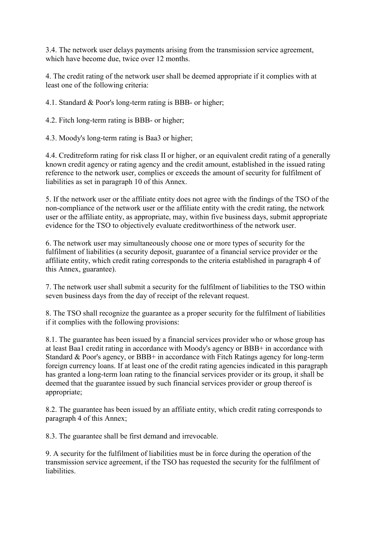3.4. The network user delays payments arising from the transmission service agreement, which have become due, twice over 12 months.

4. The credit rating of the network user shall be deemed appropriate if it complies with at least one of the following criteria:

4.1. Standard & Poor's long-term rating is BBB- or higher;

4.2. Fitch long-term rating is BBB- or higher;

4.3. Moody's long-term rating is Baa3 or higher;

4.4. Creditreform rating for risk class II or higher, or an equivalent credit rating of a generally known credit agency or rating agency and the credit amount, established in the issued rating reference to the network user, complies or exceeds the amount of security for fulfilment of liabilities as set in paragraph 10 of this Annex.

5. If the network user or the affiliate entity does not agree with the findings of the TSO of the non-compliance of the network user or the affiliate entity with the credit rating, the network user or the affiliate entity, as appropriate, may, within five business days, submit appropriate evidence for the TSO to objectively evaluate creditworthiness of the network user.

6. The network user may simultaneously choose one or more types of security for the fulfilment of liabilities (a security deposit, guarantee of a financial service provider or the affiliate entity, which credit rating corresponds to the criteria established in paragraph 4 of this Annex, guarantee).

7. The network user shall submit a security for the fulfilment of liabilities to the TSO within seven business days from the day of receipt of the relevant request.

8. The TSO shall recognize the guarantee as a proper security for the fulfilment of liabilities if it complies with the following provisions:

8.1. The guarantee has been issued by a financial services provider who or whose group has at least Baa1 credit rating in accordance with Moody's agency or BBB+ in accordance with Standard & Poor's agency, or BBB+ in accordance with Fitch Ratings agency for long-term foreign currency loans. If at least one of the credit rating agencies indicated in this paragraph has granted a long-term loan rating to the financial services provider or its group, it shall be deemed that the guarantee issued by such financial services provider or group thereof is appropriate;

8.2. The guarantee has been issued by an affiliate entity, which credit rating corresponds to paragraph 4 of this Annex;

8.3. The guarantee shall be first demand and irrevocable.

9. A security for the fulfilment of liabilities must be in force during the operation of the transmission service agreement, if the TSO has requested the security for the fulfilment of liabilities.